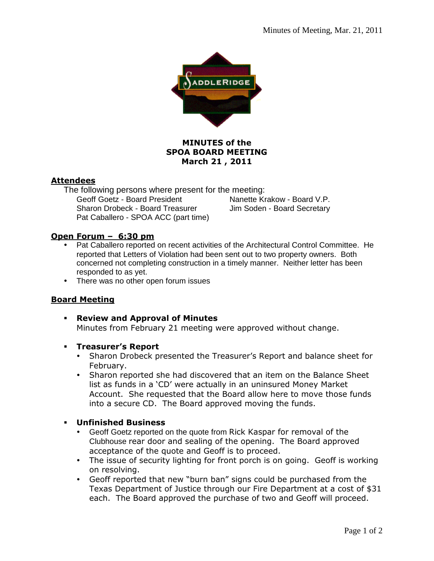

# **MINUTES of the SPOA BOARD MEETING March 21 , 2011**

# **Attendees**

The following persons where present for the meeting: Nanette Krakow - Board V.P. Sharon Drobeck - Board Treasurer Jim Soden - Board Secretary Pat Caballero - SPOA ACC (part time)

# **Open Forum – 6:30 pm**

- Pat Caballero reported on recent activities of the Architectural Control Committee. He reported that Letters of Violation had been sent out to two property owners. Both concerned not completing construction in a timely manner. Neither letter has been responded to as yet.
- There was no other open forum issues

## **Board Meeting**

- **Review and Approval of Minutes**  Minutes from February 21 meeting were approved without change.
- **Treasurer's Report** 
	- Sharon Drobeck presented the Treasurer's Report and balance sheet for February.
	- Sharon reported she had discovered that an item on the Balance Sheet list as funds in a 'CD' were actually in an uninsured Money Market Account. She requested that the Board allow here to move those funds into a secure CD. The Board approved moving the funds.

#### **Unfinished Business**

- Geoff Goetz reported on the quote from Rick Kaspar for removal of the Clubhouse rear door and sealing of the opening. The Board approved acceptance of the quote and Geoff is to proceed.
- The issue of security lighting for front porch is on going. Geoff is working on resolving.
- Geoff reported that new "burn ban" signs could be purchased from the Texas Department of Justice through our Fire Department at a cost of \$31 each. The Board approved the purchase of two and Geoff will proceed.